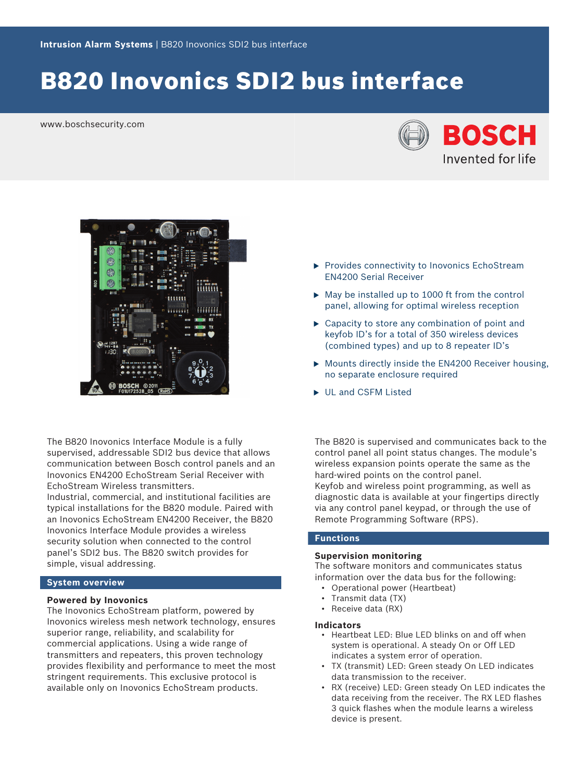# B820 Inovonics SDI2 bus interface

www.boschsecurity.com





The B820 Inovonics Interface Module is a fully supervised, addressable SDI2 bus device that allows communication between Bosch control panels and an Inovonics EN4200 EchoStream Serial Receiver with EchoStream Wireless transmitters.

Industrial, commercial, and institutional facilities are typical installations for the B820 module. Paired with an Inovonics EchoStream EN4200 Receiver, the B820 Inovonics Interface Module provides a wireless security solution when connected to the control panel's SDI2 bus. The B820 switch provides for simple, visual addressing.

### **System overview**

#### **Powered by Inovonics**

The Inovonics EchoStream platform, powered by Inovonics wireless mesh network technology, ensures superior range, reliability, and scalability for commercial applications. Using a wide range of transmitters and repeaters, this proven technology provides flexibility and performance to meet the most stringent requirements. This exclusive protocol is available only on Inovonics EchoStream products.

- $\blacktriangleright$  Provides connectivity to Inovonics EchoStream EN4200 Serial Receiver
- $\triangleright$  May be installed up to 1000 ft from the control panel, allowing for optimal wireless reception
- $\triangleright$  Capacity to store any combination of point and keyfob ID's for a total of 350 wireless devices (combined types) and up to 8 repeater ID's
- $\triangleright$  Mounts directly inside the EN4200 Receiver housing, no separate enclosure required
- UL and CSFM Listed

The B820 is supervised and communicates back to the control panel all point status changes. The module's wireless expansion points operate the same as the hard-wired points on the control panel. Keyfob and wireless point programming, as well as diagnostic data is available at your fingertips directly via any control panel keypad, or through the use of Remote Programming Software (RPS).

# **Functions**

#### **Supervision monitoring**

The software monitors and communicates status information over the data bus for the following:

- Operational power (Heartbeat)
- Transmit data (TX)
- Receive data (RX)

#### **Indicators**

- Heartbeat LED: Blue LED blinks on and off when system is operational. A steady On or Off LED indicates a system error of operation.
- TX (transmit) LED: Green steady On LED indicates data transmission to the receiver.
- RX (receive) LED: Green steady On LED indicates the data receiving from the receiver. The RX LED flashes 3 quick flashes when the module learns a wireless device is present.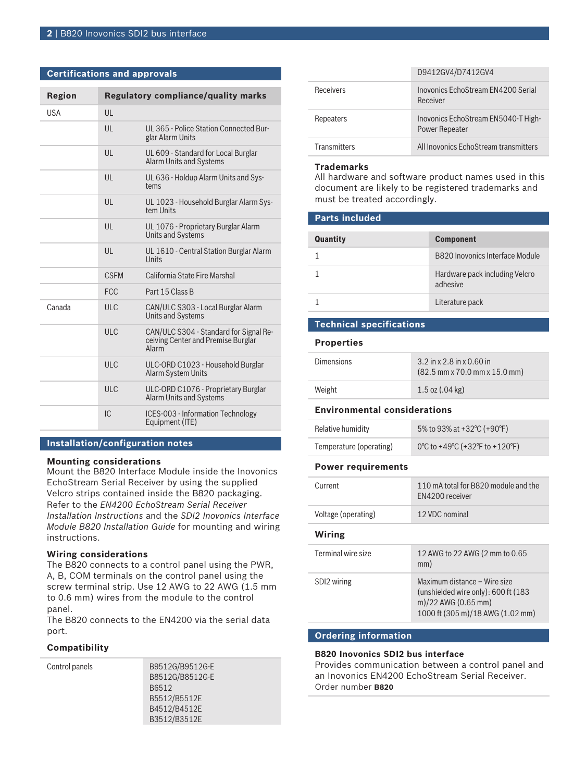#### **Certifications and approvals**

| <b>Region</b> |              | <b>Regulatory compliance/quality marks</b>                                            |
|---------------|--------------|---------------------------------------------------------------------------------------|
| <b>USA</b>    | UL           |                                                                                       |
|               | $\mathsf{U}$ | UL 365 - Police Station Connected Bur-<br>glar Alarm Units                            |
|               | UL           | UL 609 - Standard for Local Burglar<br><b>Alarm Units and Systems</b>                 |
|               | UL           | UL 636 - Holdup Alarm Units and Sys-<br>tems                                          |
|               | UL           | UL 1023 - Household Burglar Alarm Sys-<br>tem Units                                   |
|               | UL           | UL 1076 - Proprietary Burglar Alarm<br><b>Units and Systems</b>                       |
|               | UL           | UL 1610 - Central Station Burglar Alarm<br>Units                                      |
|               | <b>CSFM</b>  | California State Fire Marshal                                                         |
|               | <b>FCC</b>   | Part 15 Class B                                                                       |
| Canada        | <b>ULC</b>   | CAN/ULC S303 - Local Burglar Alarm<br><b>Units and Systems</b>                        |
|               | ULC          | CAN/ULC S304 - Standard for Signal Re-<br>ceiving Center and Premise Burglar<br>Alarm |
|               | ULC          | ULC-ORD C1023 - Household Burglar<br><b>Alarm System Units</b>                        |
|               | ULC          | ULC-ORD C1076 - Proprietary Burglar<br><b>Alarm Units and Systems</b>                 |
|               | IC           | ICES-003 - Information Technology<br>Equipment (ITE)                                  |

#### **Installation/configuration notes**

#### **Mounting considerations**

Mount the B820 Interface Module inside the Inovonics EchoStream Serial Receiver by using the supplied Velcro strips contained inside the B820 packaging. Refer to the *EN4200 EchoStream Serial Receiver Installation Instructions* and the *SDI2 Inovonics Interface Module B820 Installation Guide* for mounting and wiring instructions.

#### **Wiring considerations**

The B820 connects to a control panel using the PWR, A, B, COM terminals on the control panel using the screw terminal strip. Use 12 AWG to 22 AWG (1.5 mm to 0.6 mm) wires from the module to the control panel.

The B820 connects to the EN4200 via the serial data port.

#### **Compatibility**

Control panels B9512G/B9512G-E B8512G/B8512G-E B6512 B5512/B5512E B4512/B4512E B3512/B3512E

|                     | D9412GV4/D7412GV4                                            |
|---------------------|--------------------------------------------------------------|
| <b>Receivers</b>    | Inovonics EchoStream EN4200 Serial<br>Receiver               |
| Repeaters           | Inovonics EchoStream EN5040-T High-<br><b>Power Repeater</b> |
| <b>Transmitters</b> | All Inovonics EchoStream transmitters                        |

#### **Trademarks**

All hardware and software product names used in this document are likely to be registered trademarks and must be treated accordingly.

# **Parts included**

| Quantity | <b>Component</b>                           |
|----------|--------------------------------------------|
|          | B820 Inovonics Interface Module            |
|          | Hardware pack including Velcro<br>adhesive |
|          | Literature pack                            |

## **Technical specifications**

**Properties**

| <b>Dimensions</b> | $3.2$ in x 2.8 in x 0.60 in<br>$(82.5$ mm x 70.0 mm x 15.0 mm) |
|-------------------|----------------------------------------------------------------|
| Weight            | $1.5$ oz $(.04$ kg)                                            |

#### **Environmental considerations**

| Relative humidity       | 5% to 93% at +32 °C (+90 °F)   |
|-------------------------|--------------------------------|
| Temperature (operating) | 0°C to +49°C (+32°F to +120°F) |

#### **Power requirements**

| Current             | 110 mA total for B820 module and the                                                                                              |
|---------------------|-----------------------------------------------------------------------------------------------------------------------------------|
|                     | FN4200 receiver                                                                                                                   |
| Voltage (operating) | 12 VDC nominal                                                                                                                    |
| Wiring              |                                                                                                                                   |
| Terminal wire size  | 12 AWG to 22 AWG (2 mm to 0.65)<br>mm)                                                                                            |
| SDI2 wiring         | Maximum distance – Wire size<br>(unshielded wire only): $600$ ft (183)<br>m)/22 AWG (0.65 mm)<br>1000 ft (305 m)/18 AWG (1.02 mm) |

#### **Ordering information**

#### **B820 Inovonics SDI2 bus interface**

Provides communication between a control panel and an Inovonics EN4200 EchoStream Serial Receiver. Order number **B820**